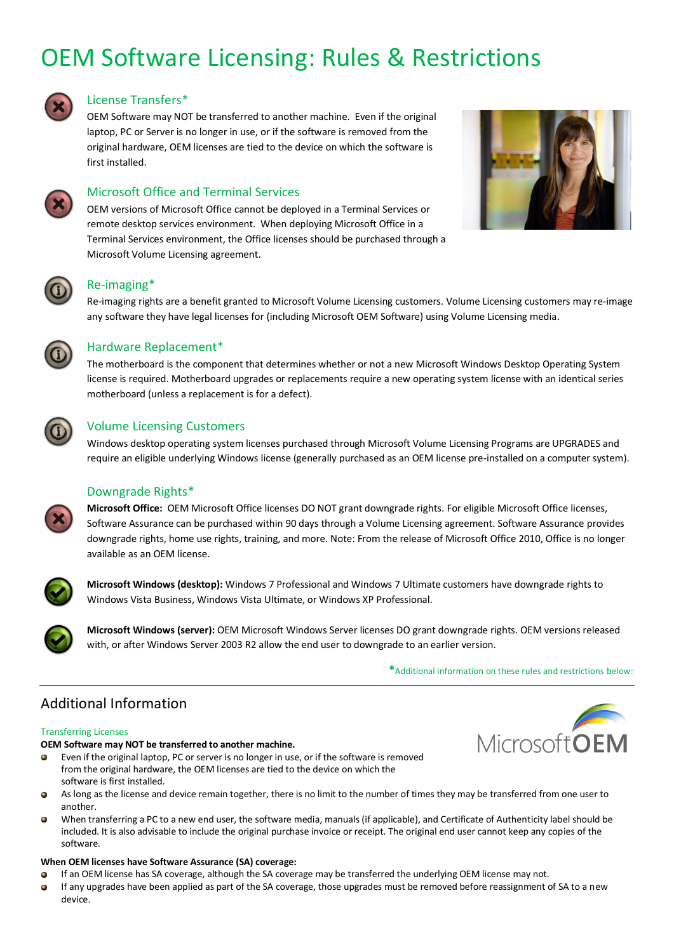# OEM Software Licensing: Rules & Restrictions



# License Transfers\*

OEM Software may NOT be transferred to another machine. Even if the original laptop, PC or Server is no longer in use, or if the software is removed from the original hardware, OEM licenses are tied to the device on which the software is first installed.





# Microsoft Office and Terminal Services

OEM versions of Microsoft Office cannot be deployed in a Terminal Services or remote desktop services environment. When deploying Microsoft Office in a Terminal Services environment, the Office licenses should be purchased through a Microsoft Volume Licensing agreement.

# Re-imaging\*

Re-imaging rights are a benefit granted to Microsoft Volume Licensing customers. Volume Licensing customers may re-image any software they have legal licenses for (including Microsoft OEM Software) using Volume Licensing media.



# Hardware Replacement\*

The motherboard is the component that determines whether or not a new Microsoft Windows Desktop Operating System license is required. Motherboard upgrades or replacements require a new operating system license with an identical series motherboard (unless a replacement is for a defect).



# Volume Licensing Customers

Windows desktop operating system licenses purchased through Microsoft Volume Licensing Programs are UPGRADES and require an eligible underlying Windows license (generally purchased as an OEM license pre-installed on a computer system).

# Downgrade Rights\*

**Microsoft Office:** OEM Microsoft Office licenses DO NOT grant downgrade rights. For eligible Microsoft Office licenses, Software Assurance can be purchased within 90 days through a Volume Licensing agreement. Software Assurance provides downgrade rights, home use rights, training, and more. Note: From the release of Microsoft Office 2010, Office is no longer available as an OEM license.



**Microsoft Windows (desktop):** Windows 7 Professional and Windows 7 Ultimate customers have downgrade rights to Windows Vista Business, Windows Vista Ultimate, or Windows XP Professional.

**Microsoft Windows (server):** OEM Microsoft Windows Server licenses DO grant downgrade rights. OEM versions released with, or after Windows Server 2003 R2 allow the end user to downgrade to an earlier version.

**\***Additional information on these rules and restrictions below:

# Additional Information

#### Transferring Licenses

#### **OEM Software may NOT be transferred to another machine.**

- Even if the original laptop, PC or server is no longer in use, or if the software is removed  $\bullet$ from the original hardware, the OEM licenses are tied to the device on which the software is first installed.
- As long as the license and device remain together, there is no limit to the number of times they may be transferred from one user to  $\bullet$ another.
- $\bullet$ When transferring a PC to a new end user, the software media, manuals (if applicable), and Certificate of Authenticity label should be included. It is also advisable to include the original purchase invoice or receipt. The original end user cannot keep any copies of the software.

#### **When OEM licenses have Software Assurance (SA) coverage:**

- If an OEM license has SA coverage, although the SA coverage may be transferred the underlying OEM license may not.  $\blacksquare$
- $\bullet$ If any upgrades have been applied as part of the SA coverage, those upgrades must be removed before reassignment of SA to a new device.